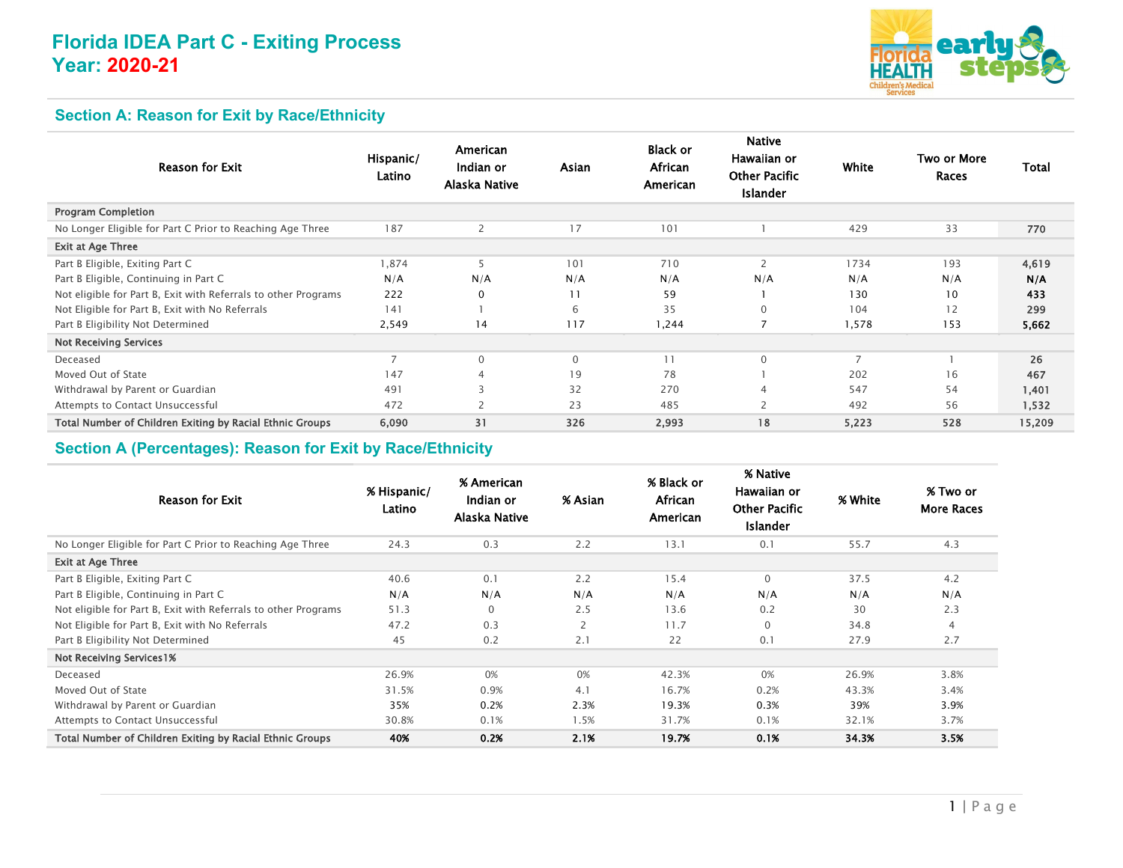# **Florida IDEA Part C - Exiting Process Year: 2020-21**



## **Section A: Reason for Exit by Race/Ethnicity**

| <b>Reason for Exit</b>                                         | Hispanic/<br>Latino | American<br>Indian or<br>Alaska Native | Asian        | <b>Black or</b><br>African<br>American | <b>Native</b><br>Hawaiian or<br><b>Other Pacific</b><br><b>Islander</b> | White          | Two or More<br>Races | Total  |
|----------------------------------------------------------------|---------------------|----------------------------------------|--------------|----------------------------------------|-------------------------------------------------------------------------|----------------|----------------------|--------|
| <b>Program Completion</b>                                      |                     |                                        |              |                                        |                                                                         |                |                      |        |
| No Longer Eligible for Part C Prior to Reaching Age Three      | 187                 | $\overline{2}$                         | 17           | 101                                    |                                                                         | 429            | 33                   | 770    |
| Exit at Age Three                                              |                     |                                        |              |                                        |                                                                         |                |                      |        |
| Part B Eligible, Exiting Part C                                | 1,874               | 5                                      | 101          | 710                                    | 2                                                                       | 1734           | 193                  | 4,619  |
| Part B Eligible, Continuing in Part C                          | N/A                 | N/A                                    | N/A          | N/A                                    | N/A                                                                     | N/A            | N/A                  | N/A    |
| Not eligible for Part B, Exit with Referrals to other Programs | 222                 | $\Omega$                               | 11           | 59                                     |                                                                         | 130            | 10                   | 433    |
| Not Eligible for Part B, Exit with No Referrals                | 141                 |                                        | 6            | 35                                     | 0                                                                       | 104            | 12                   | 299    |
| Part B Eligibility Not Determined                              | 2,549               | 14                                     | 117          | 1,244                                  | 7                                                                       | 1,578          | 153                  | 5,662  |
| <b>Not Receiving Services</b>                                  |                     |                                        |              |                                        |                                                                         |                |                      |        |
| Deceased                                                       |                     | $\Omega$                               | $\mathbf{0}$ | 11                                     | $\mathbf{0}$                                                            | $\overline{7}$ |                      | 26     |
| Moved Out of State                                             | 147                 | $\overline{4}$                         | 19           | 78                                     |                                                                         | 202            | 16                   | 467    |
| Withdrawal by Parent or Guardian                               | 491                 | 3                                      | 32           | 270                                    | 4                                                                       | 547            | 54                   | 1,401  |
| Attempts to Contact Unsuccessful                               | 472                 |                                        | 23           | 485                                    | 2                                                                       | 492            | 56                   | 1,532  |
| Total Number of Children Exiting by Racial Ethnic Groups       | 6,090               | 31                                     | 326          | 2,993                                  | 18                                                                      | 5,223          | 528                  | 15,209 |

#### **Section A (Percentages): Reason for Exit by Race/Ethnicity**

| <b>Reason for Exit</b>                                         | % Hispanic/<br>Latino | % American<br>Indian or<br>Alaska Native | % Asian | % Black or<br>African<br>American | % Native<br>Hawaiian or<br><b>Other Pacific</b><br><b>Islander</b> | % White | % Two or<br><b>More Races</b> |
|----------------------------------------------------------------|-----------------------|------------------------------------------|---------|-----------------------------------|--------------------------------------------------------------------|---------|-------------------------------|
| No Longer Eligible for Part C Prior to Reaching Age Three      | 24.3                  | 0.3                                      | 2.2     | 13.1                              | 0.1                                                                | 55.7    | 4.3                           |
| <b>Exit at Age Three</b>                                       |                       |                                          |         |                                   |                                                                    |         |                               |
| Part B Eligible, Exiting Part C                                | 40.6                  | 0.1                                      | 2.2     | 15.4                              | $\mathbf{0}$                                                       | 37.5    | 4.2                           |
| Part B Eligible, Continuing in Part C                          | N/A                   | N/A                                      | N/A     | N/A                               | N/A                                                                | N/A     | N/A                           |
| Not eligible for Part B, Exit with Referrals to other Programs | 51.3                  | $\mathbf 0$                              | 2.5     | 13.6                              | 0.2                                                                | 30      | 2.3                           |
| Not Eligible for Part B, Exit with No Referrals                | 47.2                  | 0.3                                      | 2       | 11.7                              | $\mathbf{0}$                                                       | 34.8    | $\overline{4}$                |
| Part B Eligibility Not Determined                              | 45                    | 0.2                                      | 2.1     | 22                                | 0.1                                                                | 27.9    | 2.7                           |
| <b>Not Receiving Services 1%</b>                               |                       |                                          |         |                                   |                                                                    |         |                               |
| Deceased                                                       | 26.9%                 | 0%                                       | 0%      | 42.3%                             | 0%                                                                 | 26.9%   | 3.8%                          |
| Moved Out of State                                             | 31.5%                 | 0.9%                                     | 4.1     | 16.7%                             | 0.2%                                                               | 43.3%   | 3.4%                          |
| Withdrawal by Parent or Guardian                               | 35%                   | 0.2%                                     | 2.3%    | 19.3%                             | 0.3%                                                               | 39%     | 3.9%                          |
| Attempts to Contact Unsuccessful                               | 30.8%                 | 0.1%                                     | 1.5%    | 31.7%                             | 0.1%                                                               | 32.1%   | 3.7%                          |
| Total Number of Children Exiting by Racial Ethnic Groups       | 40%                   | 0.2%                                     | 2.1%    | 19.7%                             | 0.1%                                                               | 34.3%   | 3.5%                          |